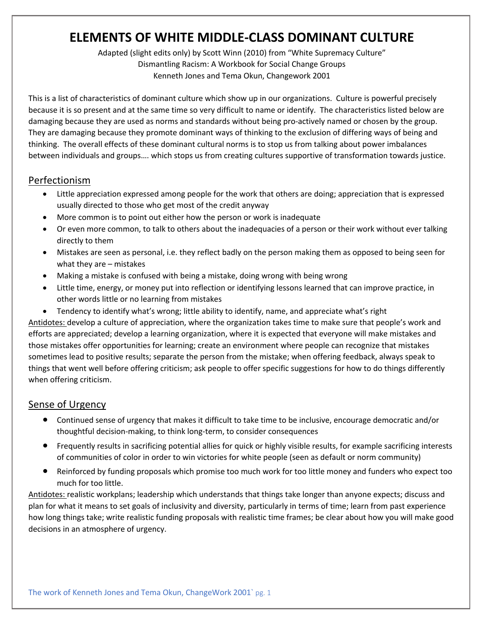# **ELEMENTS OF WHITE MIDDLE-CLASS DOMINANT CULTURE**

Adapted (slight edits only) by Scott Winn (2010) from "White Supremacy Culture" Dismantling Racism: A Workbook for Social Change Groups Kenneth Jones and Tema Okun, Changework 2001

This is a list of characteristics of dominant culture which show up in our organizations. Culture is powerful precisely because it is so present and at the same time so very difficult to name or identify. The characteristics listed below are damaging because they are used as norms and standards without being pro-actively named or chosen by the group. They are damaging because they promote dominant ways of thinking to the exclusion of differing ways of being and thinking. The overall effects of these dominant cultural norms is to stop us from talking about power imbalances between individuals and groups…. which stops us from creating cultures supportive of transformation towards justice.

#### Perfectionism

- Little appreciation expressed among people for the work that others are doing; appreciation that is expressed usually directed to those who get most of the credit anyway
- More common is to point out either how the person or work is inadequate
- Or even more common, to talk to others about the inadequacies of a person or their work without ever talking directly to them
- Mistakes are seen as personal, i.e. they reflect badly on the person making them as opposed to being seen for what they are – mistakes
- Making a mistake is confused with being a mistake, doing wrong with being wrong
- Little time, energy, or money put into reflection or identifying lessons learned that can improve practice, in other words little or no learning from mistakes
- Tendency to identify what's wrong; little ability to identify, name, and appreciate what's right

Antidotes: develop a culture of appreciation, where the organization takes time to make sure that people's work and efforts are appreciated; develop a learning organization, where it is expected that everyone will make mistakes and those mistakes offer opportunities for learning; create an environment where people can recognize that mistakes sometimes lead to positive results; separate the person from the mistake; when offering feedback, always speak to things that went well before offering criticism; ask people to offer specific suggestions for how to do things differently when offering criticism.

#### **Sense of Urgency**

- Continued sense of urgency that makes it difficult to take time to be inclusive, encourage democratic and/or thoughtful decision-making, to think long-term, to consider consequences
- Frequently results in sacrificing potential allies for quick or highly visible results, for example sacrificing interests of communities of color in order to win victories for white people (seen as default or norm community)
- Reinforced by funding proposals which promise too much work for too little money and funders who expect too much for too little.

Antidotes: realistic workplans; leadership which understands that things take longer than anyone expects; discuss and plan for what it means to set goals of inclusivity and diversity, particularly in terms of time; learn from past experience how long things take; write realistic funding proposals with realistic time frames; be clear about how you will make good decisions in an atmosphere of urgency.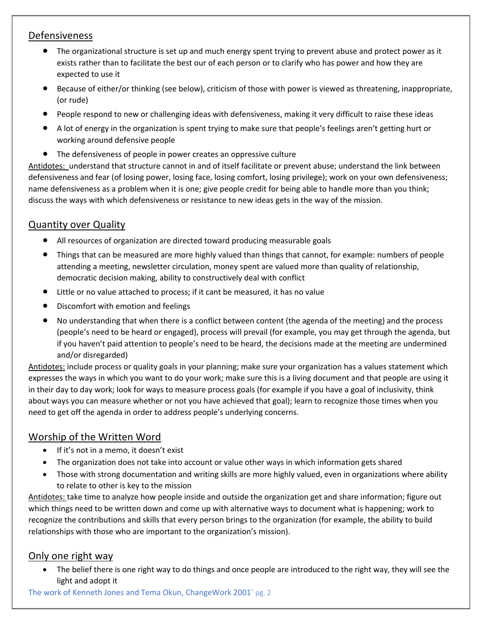#### Defensiveness

- The organizational structure is set up and much energy spent trying to prevent abuse and protect power as it exists rather than to facilitate the best our of each person or to clarify who has power and how they are expected to use it
- Because of either/or thinking (see below), criticism of those with power is viewed as threatening, inappropriate, (or rude)
- People respond to new or challenging ideas with defensiveness, making it very difficult to raise these ideas
- A lot of energy in the organization is spent trying to make sure that people's feelings aren't getting hurt or working around defensive people
- The defensiveness of people in power creates an oppressive culture

Antidotes: understand that structure cannot in and of itself facilitate or prevent abuse; understand the link between defensiveness and fear (of losing power, losing face, losing comfort, losing privilege); work on your own defensiveness; name defensiveness as a problem when it is one; give people credit for being able to handle more than you think; discuss the ways with which defensiveness or resistance to new ideas gets in the way of the mission.

# Quantity over Quality

- All resources of organization are directed toward producing measurable goals
- Things that can be measured are more highly valued than things that cannot, for example: numbers of people attending a meeting, newsletter circulation, money spent are valued more than quality of relationship, democratic decision making, ability to constructively deal with conflict
- Little or no value attached to process; if it cant be measured, it has no value
- Discomfort with emotion and feelings
- No understanding that when there is a conflict between content (the agenda of the meeting) and the process (people's need to be heard or engaged), process will prevail (for example, you may get through the agenda, but if you haven't paid attention to people's need to be heard, the decisions made at the meeting are undermined and/or disregarded)

Antidotes: include process or quality goals in your planning; make sure your organization has a values statement which expresses the ways in which you want to do your work; make sure this is a living document and that people are using it in their day to day work; look for ways to measure process goals (for example if you have a goal of inclusivity, think about ways you can measure whether or not you have achieved that goal); learn to recognize those times when you need to get off the agenda in order to address people's underlying concerns.

## Worship of the Written Word

- If it's not in a memo, it doesn't exist
- The organization does not take into account or value other ways in which information gets shared
- Those with strong documentation and writing skills are more highly valued, even in organizations where ability to relate to other is key to the mission

Antidotes: take time to analyze how people inside and outside the organization get and share information; figure out which things need to be written down and come up with alternative ways to document what is happening; work to recognize the contributions and skills that every person brings to the organization (for example, the ability to build relationships with those who are important to the organization's mission).

## Only one right way

• The belief there is one right way to do things and once people are introduced to the right way, they will see the light and adopt it

The work of Kenneth Jones and Tema Okun, ChangeWork 2001` pg. 2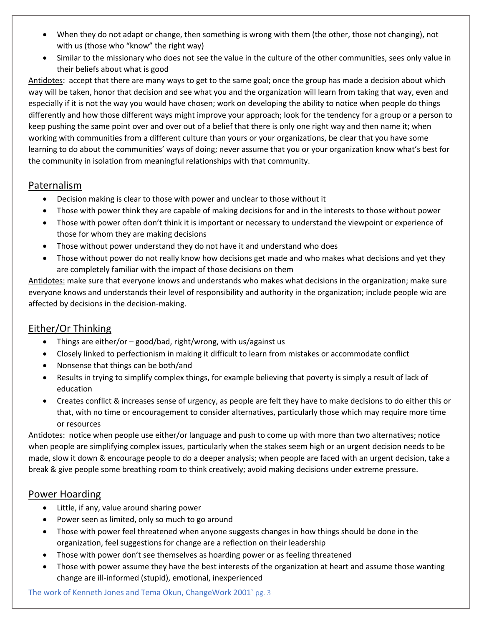- When they do not adapt or change, then something is wrong with them (the other, those not changing), not with us (those who "know" the right way)
- Similar to the missionary who does not see the value in the culture of the other communities, sees only value in their beliefs about what is good

Antidotes: accept that there are many ways to get to the same goal; once the group has made a decision about which way will be taken, honor that decision and see what you and the organization will learn from taking that way, even and especially if it is not the way you would have chosen; work on developing the ability to notice when people do things differently and how those different ways might improve your approach; look for the tendency for a group or a person to keep pushing the same point over and over out of a belief that there is only one right way and then name it; when working with communities from a different culture than yours or your organizations, be clear that you have some learning to do about the communities' ways of doing; never assume that you or your organization know what's best for the community in isolation from meaningful relationships with that community.

#### Paternalism

- Decision making is clear to those with power and unclear to those without it
- Those with power think they are capable of making decisions for and in the interests to those without power
- Those with power often don't think it is important or necessary to understand the viewpoint or experience of those for whom they are making decisions
- Those without power understand they do not have it and understand who does
- Those without power do not really know how decisions get made and who makes what decisions and yet they are completely familiar with the impact of those decisions on them

Antidotes: make sure that everyone knows and understands who makes what decisions in the organization; make sure everyone knows and understands their level of responsibility and authority in the organization; include people wio are affected by decisions in the decision-making.

# Either/Or Thinking

- Things are either/or good/bad, right/wrong, with us/against us
- Closely linked to perfectionism in making it difficult to learn from mistakes or accommodate conflict
- Nonsense that things can be both/and
- Results in trying to simplify complex things, for example believing that poverty is simply a result of lack of education
- Creates conflict & increases sense of urgency, as people are felt they have to make decisions to do either this or that, with no time or encouragement to consider alternatives, particularly those which may require more time or resources

Antidotes: notice when people use either/or language and push to come up with more than two alternatives; notice when people are simplifying complex issues, particularly when the stakes seem high or an urgent decision needs to be made, slow it down & encourage people to do a deeper analysis; when people are faced with an urgent decision, take a break & give people some breathing room to think creatively; avoid making decisions under extreme pressure.

#### Power Hoarding

- Little, if any, value around sharing power
- Power seen as limited, only so much to go around
- Those with power feel threatened when anyone suggests changes in how things should be done in the organization, feel suggestions for change are a reflection on their leadership
- Those with power don't see themselves as hoarding power or as feeling threatened
- Those with power assume they have the best interests of the organization at heart and assume those wanting change are ill-informed (stupid), emotional, inexperienced

The work of Kenneth Jones and Tema Okun, ChangeWork 2001` pg. 3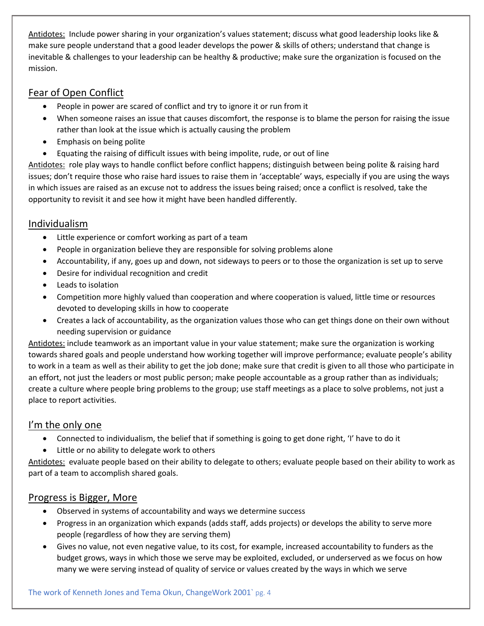Antidotes: Include power sharing in your organization's values statement; discuss what good leadership looks like & make sure people understand that a good leader develops the power & skills of others; understand that change is inevitable & challenges to your leadership can be healthy & productive; make sure the organization is focused on the mission.

## Fear of Open Conflict

- People in power are scared of conflict and try to ignore it or run from it
- When someone raises an issue that causes discomfort, the response is to blame the person for raising the issue rather than look at the issue which is actually causing the problem
- Emphasis on being polite
- Equating the raising of difficult issues with being impolite, rude, or out of line

Antidotes: role play ways to handle conflict before conflict happens; distinguish between being polite & raising hard issues; don't require those who raise hard issues to raise them in 'acceptable' ways, especially if you are using the ways in which issues are raised as an excuse not to address the issues being raised; once a conflict is resolved, take the opportunity to revisit it and see how it might have been handled differently.

# Individualism

- Little experience or comfort working as part of a team
- People in organization believe they are responsible for solving problems alone
- Accountability, if any, goes up and down, not sideways to peers or to those the organization is set up to serve
- Desire for individual recognition and credit
- Leads to isolation
- Competition more highly valued than cooperation and where cooperation is valued, little time or resources devoted to developing skills in how to cooperate
- Creates a lack of accountability, as the organization values those who can get things done on their own without needing supervision or guidance

Antidotes: include teamwork as an important value in your value statement; make sure the organization is working towards shared goals and people understand how working together will improve performance; evaluate people's ability to work in a team as well as their ability to get the job done; make sure that credit is given to all those who participate in an effort, not just the leaders or most public person; make people accountable as a group rather than as individuals; create a culture where people bring problems to the group; use staff meetings as a place to solve problems, not just a place to report activities.

# I'm the only one

- Connected to individualism, the belief that if something is going to get done right, 'I' have to do it
- Little or no ability to delegate work to others

Antidotes: evaluate people based on their ability to delegate to others; evaluate people based on their ability to work as part of a team to accomplish shared goals.

# Progress is Bigger, More

- Observed in systems of accountability and ways we determine success
- Progress in an organization which expands (adds staff, adds projects) or develops the ability to serve more people (regardless of how they are serving them)
- Gives no value, not even negative value, to its cost, for example, increased accountability to funders as the budget grows, ways in which those we serve may be exploited, excluded, or underserved as we focus on how many we were serving instead of quality of service or values created by the ways in which we serve

The work of Kenneth Jones and Tema Okun, ChangeWork 2001` pg. 4